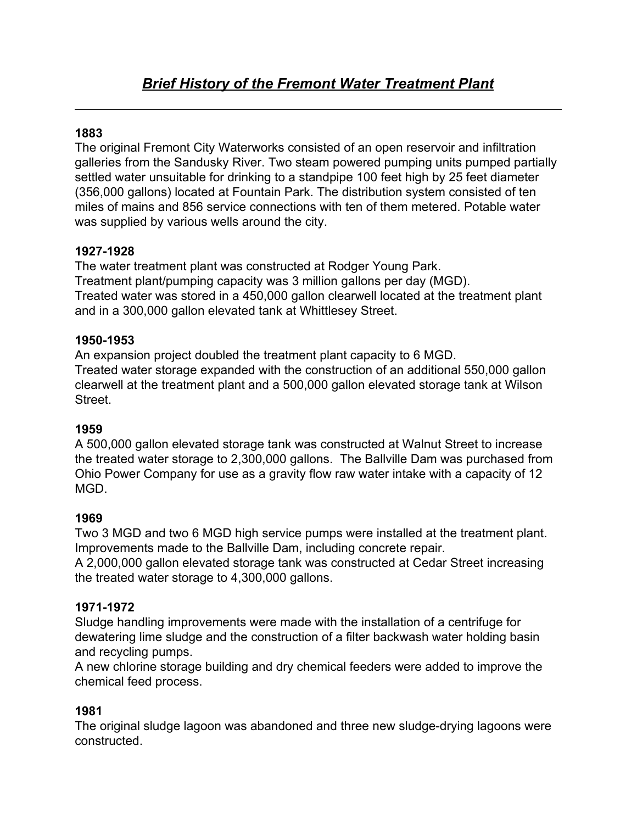# **1883**

The original Fremont City Waterworks consisted of an open reservoir and infiltration galleries from the Sandusky River. Two steam powered pumping units pumped partially settled water unsuitable for drinking to a standpipe 100 feet high by 25 feet diameter (356,000 gallons) located at Fountain Park. The distribution system consisted of ten miles of mains and 856 service connections with ten of them metered. Potable water was supplied by various wells around the city.

# **1927-1928**

The water treatment plant was constructed at Rodger Young Park. Treatment plant/pumping capacity was 3 million gallons per day (MGD). Treated water was stored in a 450,000 gallon clearwell located at the treatment plant and in a 300,000 gallon elevated tank at Whittlesey Street.

## **1950-1953**

An expansion project doubled the treatment plant capacity to 6 MGD. Treated water storage expanded with the construction of an additional 550,000 gallon clearwell at the treatment plant and a 500,000 gallon elevated storage tank at Wilson Street.

## **1959**

A 500,000 gallon elevated storage tank was constructed at Walnut Street to increase the treated water storage to 2,300,000 gallons. The Ballville Dam was purchased from Ohio Power Company for use as a gravity flow raw water intake with a capacity of 12 MGD.

## **1969**

Two 3 MGD and two 6 MGD high service pumps were installed at the treatment plant. Improvements made to the Ballville Dam, including concrete repair.

A 2,000,000 gallon elevated storage tank was constructed at Cedar Street increasing the treated water storage to 4,300,000 gallons.

## **1971-1972**

Sludge handling improvements were made with the installation of a centrifuge for dewatering lime sludge and the construction of a filter backwash water holding basin and recycling pumps.

A new chlorine storage building and dry chemical feeders were added to improve the chemical feed process.

## **1981**

The original sludge lagoon was abandoned and three new sludge-drying lagoons were constructed.